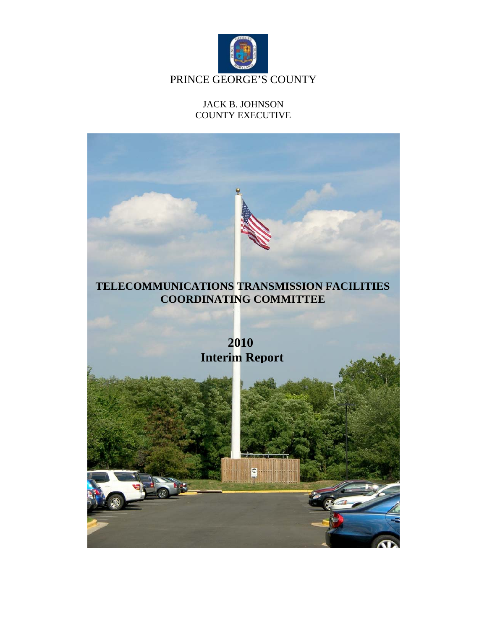

## JACK B. JOHNSON COUNTY EXECUTIVE

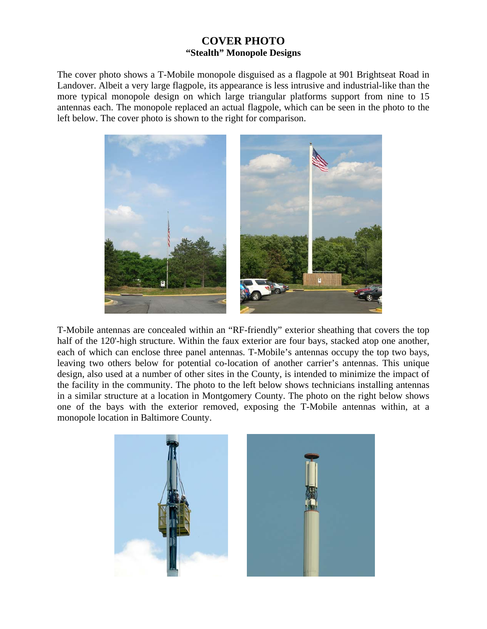## **COVER PHOTO "Stealth" Monopole Designs**

The cover photo shows a T-Mobile monopole disguised as a flagpole at 901 Brightseat Road in Landover. Albeit a very large flagpole, its appearance is less intrusive and industrial-like than the more typical monopole design on which large triangular platforms support from nine to 15 antennas each. The monopole replaced an actual flagpole, which can be seen in the photo to the left below. The cover photo is shown to the right for comparison.



T-Mobile antennas are concealed within an "RF-friendly" exterior sheathing that covers the top half of the 120'-high structure. Within the faux exterior are four bays, stacked atop one another, each of which can enclose three panel antennas. T-Mobile's antennas occupy the top two bays, leaving two others below for potential co-location of another carrier's antennas. This unique design, also used at a number of other sites in the County, is intended to minimize the impact of the facility in the community. The photo to the left below shows technicians installing antennas in a similar structure at a location in Montgomery County. The photo on the right below shows one of the bays with the exterior removed, exposing the T-Mobile antennas within, at a monopole location in Baltimore County.

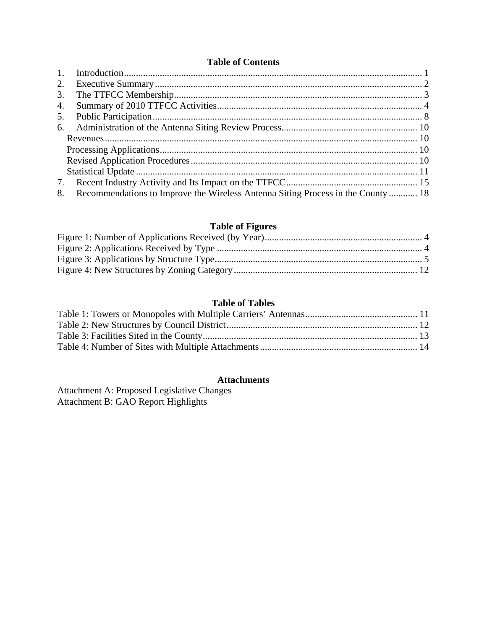## **Table of Contents**

| 2. |                                                                                  |  |
|----|----------------------------------------------------------------------------------|--|
| 3. |                                                                                  |  |
| 4. |                                                                                  |  |
| 5. |                                                                                  |  |
|    |                                                                                  |  |
|    |                                                                                  |  |
|    |                                                                                  |  |
|    |                                                                                  |  |
|    |                                                                                  |  |
| 7. |                                                                                  |  |
| 8. | Recommendations to Improve the Wireless Antenna Siting Process in the County  18 |  |

## **Table of Figures**

## **Table of Tables**

## **Attachments**

Attachment A: Proposed Legislative Changes Attachment B: GAO Report Highlights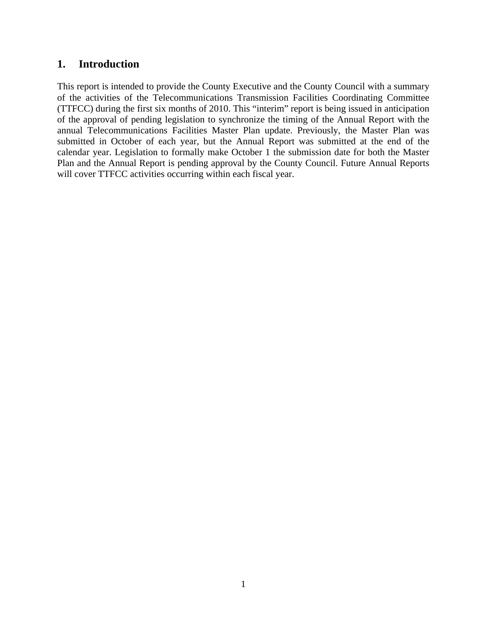## **1. Introduction**

This report is intended to provide the County Executive and the County Council with a summary of the activities of the Telecommunications Transmission Facilities Coordinating Committee (TTFCC) during the first six months of 2010. This "interim" report is being issued in anticipation of the approval of pending legislation to synchronize the timing of the Annual Report with the annual Telecommunications Facilities Master Plan update. Previously, the Master Plan was submitted in October of each year, but the Annual Report was submitted at the end of the calendar year. Legislation to formally make October 1 the submission date for both the Master Plan and the Annual Report is pending approval by the County Council. Future Annual Reports will cover TTFCC activities occurring within each fiscal year.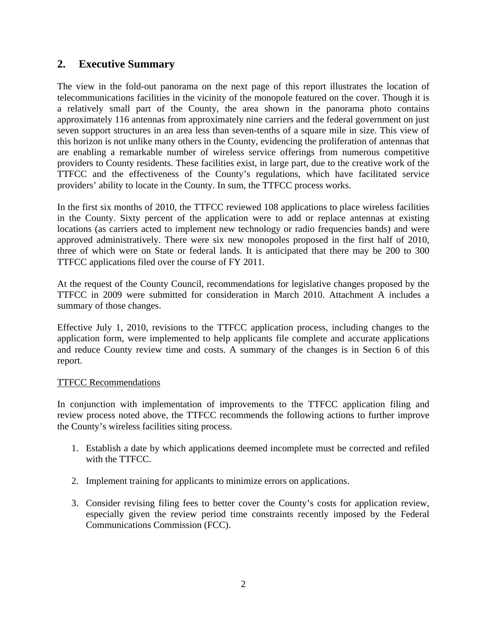## **2. Executive Summary**

The view in the fold-out panorama on the next page of this report illustrates the location of telecommunications facilities in the vicinity of the monopole featured on the cover. Though it is a relatively small part of the County, the area shown in the panorama photo contains approximately 116 antennas from approximately nine carriers and the federal government on just seven support structures in an area less than seven-tenths of a square mile in size. This view of this horizon is not unlike many others in the County, evidencing the proliferation of antennas that are enabling a remarkable number of wireless service offerings from numerous competitive providers to County residents. These facilities exist, in large part, due to the creative work of the TTFCC and the effectiveness of the County's regulations, which have facilitated service providers' ability to locate in the County. In sum, the TTFCC process works.

In the first six months of 2010, the TTFCC reviewed 108 applications to place wireless facilities in the County. Sixty percent of the application were to add or replace antennas at existing locations (as carriers acted to implement new technology or radio frequencies bands) and were approved administratively. There were six new monopoles proposed in the first half of 2010, three of which were on State or federal lands. It is anticipated that there may be 200 to 300 TTFCC applications filed over the course of FY 2011.

At the request of the County Council, recommendations for legislative changes proposed by the TTFCC in 2009 were submitted for consideration in March 2010. Attachment A includes a summary of those changes.

Effective July 1, 2010, revisions to the TTFCC application process, including changes to the application form, were implemented to help applicants file complete and accurate applications and reduce County review time and costs. A summary of the changes is in Section 6 of this report.

## TTFCC Recommendations

In conjunction with implementation of improvements to the TTFCC application filing and review process noted above, the TTFCC recommends the following actions to further improve the County's wireless facilities siting process.

- 1. Establish a date by which applications deemed incomplete must be corrected and refiled with the TTFCC.
- 2. Implement training for applicants to minimize errors on applications.
- 3. Consider revising filing fees to better cover the County's costs for application review, especially given the review period time constraints recently imposed by the Federal Communications Commission (FCC).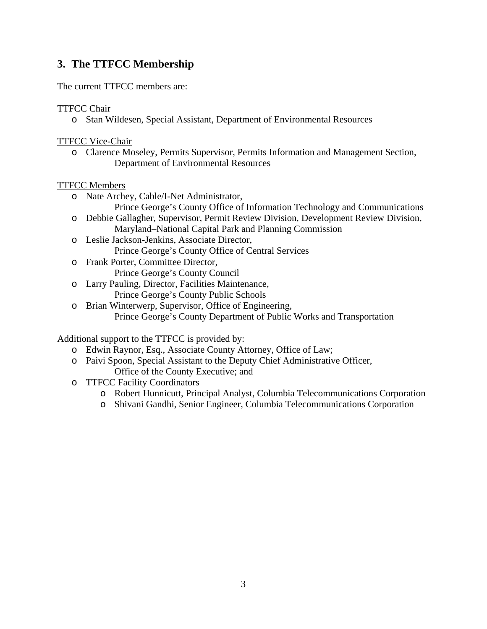# **3. The TTFCC Membership**

The current TTFCC members are:

### TTFCC Chair

o Stan Wildesen, Special Assistant, Department of Environmental Resources

#### TTFCC Vice-Chair

o Clarence Moseley, Permits Supervisor, Permits Information and Management Section, Department of Environmental Resources

#### TTFCC Members

- o Nate Archey, Cable/I-Net Administrator,
	- Prince George's County Office of Information Technology and Communications
- o Debbie Gallagher, Supervisor, Permit Review Division, Development Review Division, Maryland–National Capital Park and Planning Commission
- o Leslie Jackson-Jenkins, Associate Director, Prince George's County Office of Central Services
- o Frank Porter, Committee Director, Prince George's County Council
- o Larry Pauling, Director, Facilities Maintenance, Prince George's County Public Schools
- o Brian Winterwerp, Supervisor, Office of Engineering, Prince George's County Department of Public Works and Transportation

Additional support to the TTFCC is provided by:

- o Edwin Raynor, Esq., Associate County Attorney, Office of Law;
- o Paivi Spoon, Special Assistant to the Deputy Chief Administrative Officer, Office of the County Executive; and
- o TTFCC Facility Coordinators
	- o Robert Hunnicutt, Principal Analyst, Columbia Telecommunications Corporation
	- o Shivani Gandhi, Senior Engineer, Columbia Telecommunications Corporation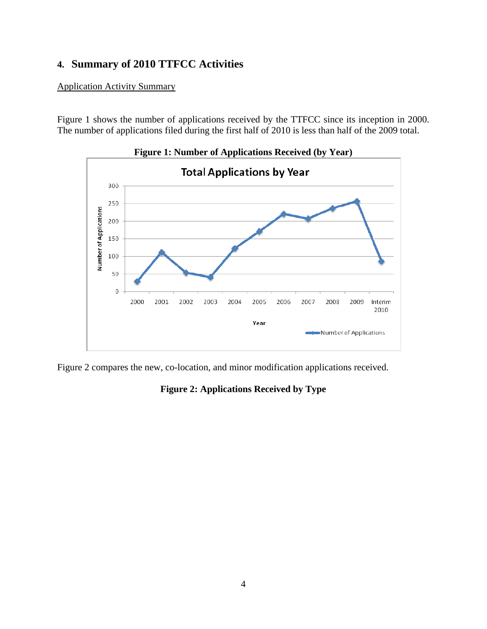# **4. Summary of 2010 TTFCC Activities**

Application Activity Summary

Figure 1 shows the number of applications received by the TTFCC since its inception in 2000. The number of applications filed during the first half of 2010 is less than half of the 2009 total.



**Figure 1: Number of Applications Received (by Year)** 

Figure 2 compares the new, co-location, and minor modification applications received.

## **Figure 2: Applications Received by Type**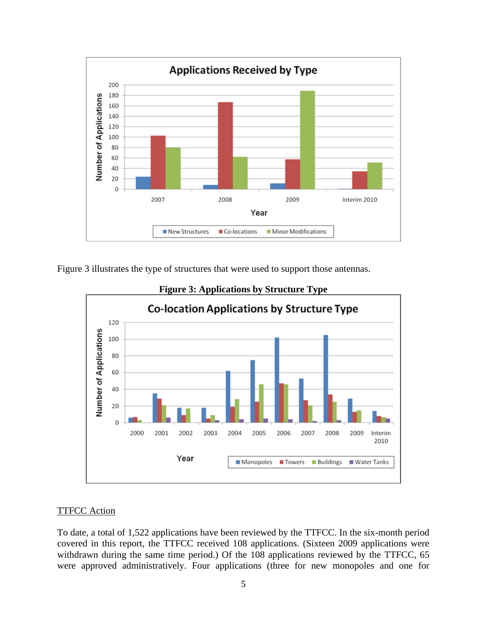

Figure 3 illustrates the type of structures that were used to support those antennas.





## **TTFCC Action**

To date, a total of 1,522 applications have been reviewed by the TTFCC. In the six-month period covered in this report, the TTFCC received 108 applications. (Sixteen 2009 applications were withdrawn during the same time period.) Of the 108 applications reviewed by the TTFCC, 65 were approved administratively. Four applications (three for new monopoles and one for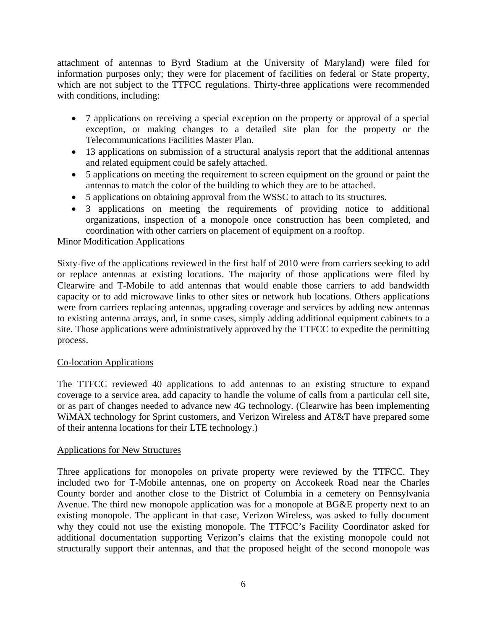attachment of antennas to Byrd Stadium at the University of Maryland) were filed for information purposes only; they were for placement of facilities on federal or State property, which are not subject to the TTFCC regulations. Thirty-three applications were recommended with conditions, including:

- 7 applications on receiving a special exception on the property or approval of a special exception, or making changes to a detailed site plan for the property or the Telecommunications Facilities Master Plan.
- 13 applications on submission of a structural analysis report that the additional antennas and related equipment could be safely attached.
- 5 applications on meeting the requirement to screen equipment on the ground or paint the antennas to match the color of the building to which they are to be attached.
- 5 applications on obtaining approval from the WSSC to attach to its structures.
- 3 applications on meeting the requirements of providing notice to additional organizations, inspection of a monopole once construction has been completed, and coordination with other carriers on placement of equipment on a rooftop.

## Minor Modification Applications

Sixty-five of the applications reviewed in the first half of 2010 were from carriers seeking to add or replace antennas at existing locations. The majority of those applications were filed by Clearwire and T-Mobile to add antennas that would enable those carriers to add bandwidth capacity or to add microwave links to other sites or network hub locations. Others applications were from carriers replacing antennas, upgrading coverage and services by adding new antennas to existing antenna arrays, and, in some cases, simply adding additional equipment cabinets to a site. Those applications were administratively approved by the TTFCC to expedite the permitting process.

#### Co-location Applications

The TTFCC reviewed 40 applications to add antennas to an existing structure to expand coverage to a service area, add capacity to handle the volume of calls from a particular cell site, or as part of changes needed to advance new 4G technology. (Clearwire has been implementing WiMAX technology for Sprint customers, and Verizon Wireless and AT&T have prepared some of their antenna locations for their LTE technology.)

#### Applications for New Structures

Three applications for monopoles on private property were reviewed by the TTFCC. They included two for T-Mobile antennas, one on property on Accokeek Road near the Charles County border and another close to the District of Columbia in a cemetery on Pennsylvania Avenue. The third new monopole application was for a monopole at BG&E property next to an existing monopole. The applicant in that case, Verizon Wireless, was asked to fully document why they could not use the existing monopole. The TTFCC's Facility Coordinator asked for additional documentation supporting Verizon's claims that the existing monopole could not structurally support their antennas, and that the proposed height of the second monopole was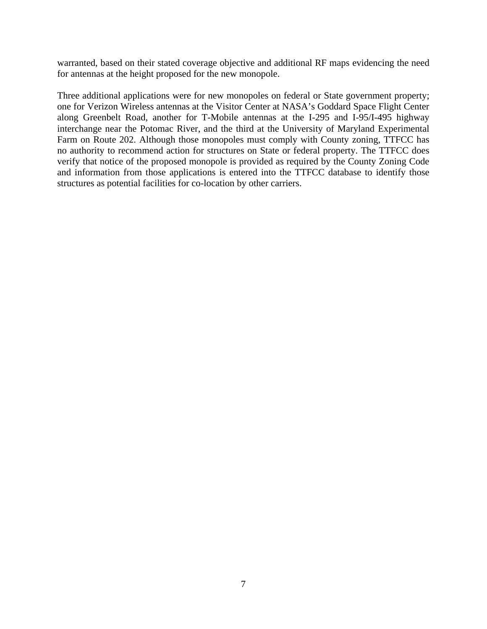warranted, based on their stated coverage objective and additional RF maps evidencing the need for antennas at the height proposed for the new monopole.

Three additional applications were for new monopoles on federal or State government property; one for Verizon Wireless antennas at the Visitor Center at NASA's Goddard Space Flight Center along Greenbelt Road, another for T-Mobile antennas at the I-295 and I-95/I-495 highway interchange near the Potomac River, and the third at the University of Maryland Experimental Farm on Route 202. Although those monopoles must comply with County zoning, TTFCC has no authority to recommend action for structures on State or federal property. The TTFCC does verify that notice of the proposed monopole is provided as required by the County Zoning Code and information from those applications is entered into the TTFCC database to identify those structures as potential facilities for co-location by other carriers.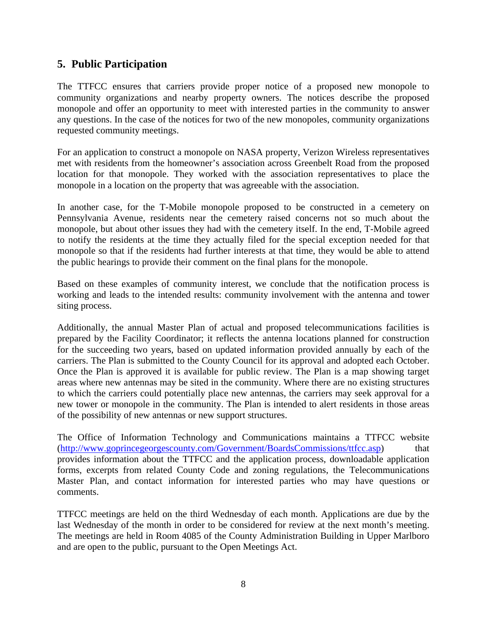## **5. Public Participation**

The TTFCC ensures that carriers provide proper notice of a proposed new monopole to community organizations and nearby property owners. The notices describe the proposed monopole and offer an opportunity to meet with interested parties in the community to answer any questions. In the case of the notices for two of the new monopoles, community organizations requested community meetings.

For an application to construct a monopole on NASA property, Verizon Wireless representatives met with residents from the homeowner's association across Greenbelt Road from the proposed location for that monopole. They worked with the association representatives to place the monopole in a location on the property that was agreeable with the association.

In another case, for the T-Mobile monopole proposed to be constructed in a cemetery on Pennsylvania Avenue, residents near the cemetery raised concerns not so much about the monopole, but about other issues they had with the cemetery itself. In the end, T-Mobile agreed to notify the residents at the time they actually filed for the special exception needed for that monopole so that if the residents had further interests at that time, they would be able to attend the public hearings to provide their comment on the final plans for the monopole.

Based on these examples of community interest, we conclude that the notification process is working and leads to the intended results: community involvement with the antenna and tower siting process.

Additionally, the annual Master Plan of actual and proposed telecommunications facilities is prepared by the Facility Coordinator; it reflects the antenna locations planned for construction for the succeeding two years, based on updated information provided annually by each of the carriers. The Plan is submitted to the County Council for its approval and adopted each October. Once the Plan is approved it is available for public review. The Plan is a map showing target areas where new antennas may be sited in the community. Where there are no existing structures to which the carriers could potentially place new antennas, the carriers may seek approval for a new tower or monopole in the community. The Plan is intended to alert residents in those areas of the possibility of new antennas or new support structures.

The Office of Information Technology and Communications maintains a TTFCC website (http://www.goprincegeorgescounty.com/Government/BoardsCommissions/ttfcc.asp) that provides information about the TTFCC and the application process, downloadable application forms, excerpts from related County Code and zoning regulations, the Telecommunications Master Plan, and contact information for interested parties who may have questions or comments.

TTFCC meetings are held on the third Wednesday of each month. Applications are due by the last Wednesday of the month in order to be considered for review at the next month's meeting. The meetings are held in Room 4085 of the County Administration Building in Upper Marlboro and are open to the public, pursuant to the Open Meetings Act.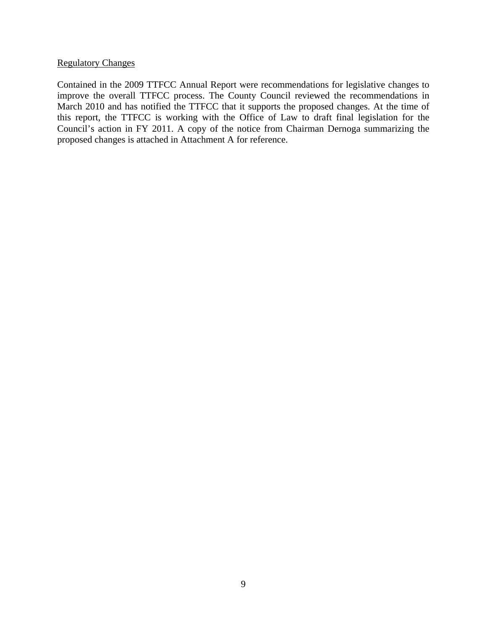#### Regulatory Changes

Contained in the 2009 TTFCC Annual Report were recommendations for legislative changes to improve the overall TTFCC process. The County Council reviewed the recommendations in March 2010 and has notified the TTFCC that it supports the proposed changes. At the time of this report, the TTFCC is working with the Office of Law to draft final legislation for the Council's action in FY 2011. A copy of the notice from Chairman Dernoga summarizing the proposed changes is attached in Attachment A for reference.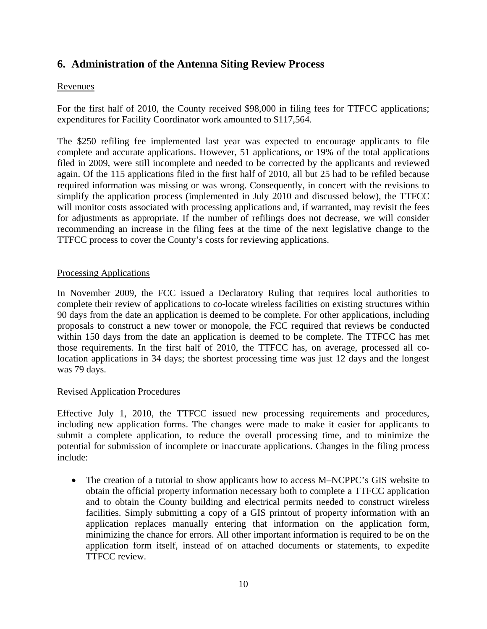# **6. Administration of the Antenna Siting Review Process**

## Revenues

For the first half of 2010, the County received \$98,000 in filing fees for TTFCC applications; expenditures for Facility Coordinator work amounted to \$117,564.

The \$250 refiling fee implemented last year was expected to encourage applicants to file complete and accurate applications. However, 51 applications, or 19% of the total applications filed in 2009, were still incomplete and needed to be corrected by the applicants and reviewed again. Of the 115 applications filed in the first half of 2010, all but 25 had to be refiled because required information was missing or was wrong. Consequently, in concert with the revisions to simplify the application process (implemented in July 2010 and discussed below), the TTFCC will monitor costs associated with processing applications and, if warranted, may revisit the fees for adjustments as appropriate. If the number of refilings does not decrease, we will consider recommending an increase in the filing fees at the time of the next legislative change to the TTFCC process to cover the County's costs for reviewing applications.

## Processing Applications

In November 2009, the FCC issued a Declaratory Ruling that requires local authorities to complete their review of applications to co-locate wireless facilities on existing structures within 90 days from the date an application is deemed to be complete. For other applications, including proposals to construct a new tower or monopole, the FCC required that reviews be conducted within 150 days from the date an application is deemed to be complete. The TTFCC has met those requirements. In the first half of 2010, the TTFCC has, on average, processed all colocation applications in 34 days; the shortest processing time was just 12 days and the longest was 79 days.

## Revised Application Procedures

Effective July 1, 2010, the TTFCC issued new processing requirements and procedures, including new application forms. The changes were made to make it easier for applicants to submit a complete application, to reduce the overall processing time, and to minimize the potential for submission of incomplete or inaccurate applications. Changes in the filing process include:

• The creation of a tutorial to show applicants how to access M–NCPPC's GIS website to obtain the official property information necessary both to complete a TTFCC application and to obtain the County building and electrical permits needed to construct wireless facilities. Simply submitting a copy of a GIS printout of property information with an application replaces manually entering that information on the application form, minimizing the chance for errors. All other important information is required to be on the application form itself, instead of on attached documents or statements, to expedite TTFCC review.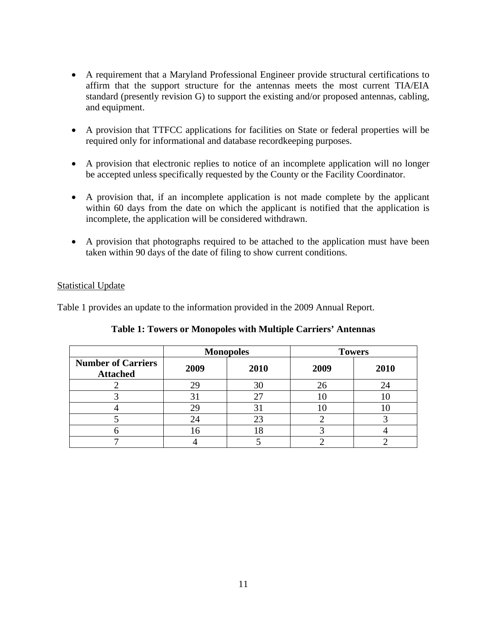- A requirement that a Maryland Professional Engineer provide structural certifications to affirm that the support structure for the antennas meets the most current TIA/EIA standard (presently revision G) to support the existing and/or proposed antennas, cabling, and equipment.
- A provision that TTFCC applications for facilities on State or federal properties will be required only for informational and database recordkeeping purposes.
- A provision that electronic replies to notice of an incomplete application will no longer be accepted unless specifically requested by the County or the Facility Coordinator.
- A provision that, if an incomplete application is not made complete by the applicant within 60 days from the date on which the applicant is notified that the application is incomplete, the application will be considered withdrawn.
- A provision that photographs required to be attached to the application must have been taken within 90 days of the date of filing to show current conditions.

#### Statistical Update

Table 1 provides an update to the information provided in the 2009 Annual Report.

|                                              | <b>Monopoles</b> |      | <b>Towers</b> |      |
|----------------------------------------------|------------------|------|---------------|------|
| <b>Number of Carriers</b><br><b>Attached</b> | 2009             | 2010 | 2009          | 2010 |
|                                              | 29               | 30   | 26            | 24   |
|                                              |                  |      |               |      |
|                                              |                  | 3.   |               |      |
|                                              |                  | 23   |               |      |
|                                              | 16               | ð    |               |      |
|                                              |                  |      |               |      |

## **Table 1: Towers or Monopoles with Multiple Carriers' Antennas**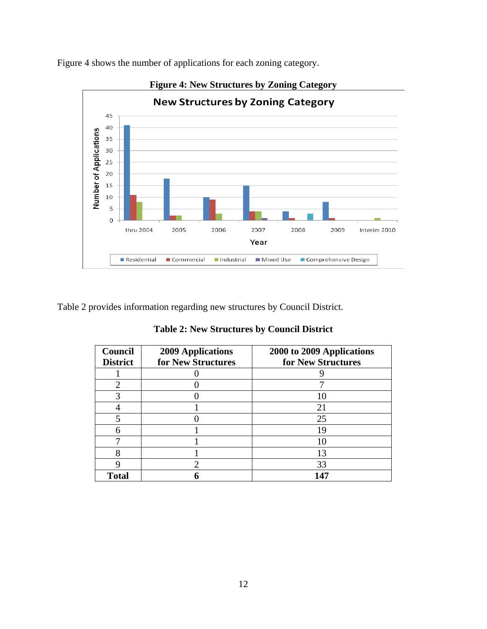

Figure 4 shows the number of applications for each zoning category.

Table 2 provides information regarding new structures by Council District.

**Table 2: New Structures by Council District** 

| Council<br><b>District</b> | <b>2009 Applications</b><br>for New Structures | 2000 to 2009 Applications<br>for New Structures |
|----------------------------|------------------------------------------------|-------------------------------------------------|
|                            |                                                |                                                 |
|                            |                                                |                                                 |
|                            |                                                |                                                 |
|                            |                                                | 21                                              |
|                            |                                                | 25                                              |
| 6                          |                                                | 19                                              |
|                            |                                                |                                                 |
|                            |                                                | 13                                              |
|                            |                                                | 33                                              |
| <b>Total</b>               |                                                | 147                                             |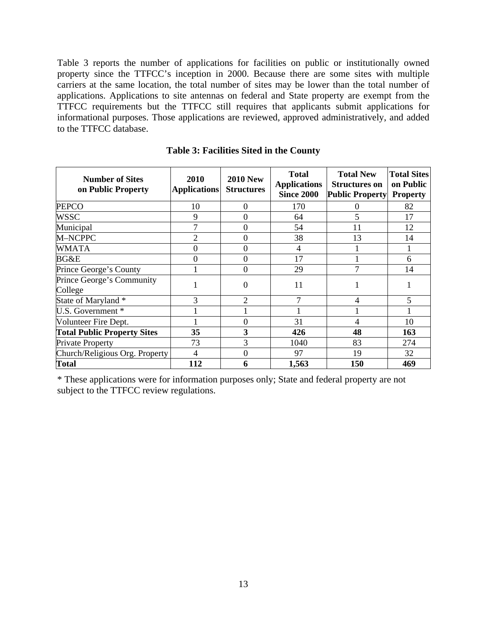Table 3 reports the number of applications for facilities on public or institutionally owned property since the TTFCC's inception in 2000. Because there are some sites with multiple carriers at the same location, the total number of sites may be lower than the total number of applications. Applications to site antennas on federal and State property are exempt from the TTFCC requirements but the TTFCC still requires that applicants submit applications for informational purposes. Those applications are reviewed, approved administratively, and added to the TTFCC database.

| <b>Number of Sites</b><br>on Public Property | 2010<br><b>Applications</b> | <b>2010 New</b><br><b>Structures</b> | <b>Total</b><br><b>Applications</b><br><b>Since 2000</b> | <b>Total New</b><br><b>Structures on</b><br><b>Public Property</b> | <b>Total Sites</b><br>on Public<br><b>Property</b> |
|----------------------------------------------|-----------------------------|--------------------------------------|----------------------------------------------------------|--------------------------------------------------------------------|----------------------------------------------------|
| <b>PEPCO</b>                                 | 10                          | $\Omega$                             | 170                                                      | 0                                                                  | 82                                                 |
| WSSC                                         | 9                           | $\Omega$                             | 64                                                       | 5                                                                  | 17                                                 |
| Municipal                                    | 7                           | $\Omega$                             | 54                                                       | 11                                                                 | 12                                                 |
| M-NCPPC                                      | 2                           | $\theta$                             | 38                                                       | 13                                                                 | 14                                                 |
| <b>WMATA</b>                                 | $\Omega$                    | $\Omega$                             | 4                                                        |                                                                    |                                                    |
| BG&E                                         | $\Omega$                    | $\Omega$                             | 17                                                       |                                                                    | 6                                                  |
| Prince George's County                       |                             | $\Omega$                             | 29                                                       |                                                                    | 14                                                 |
| Prince George's Community<br>College         |                             | $\Omega$                             | 11                                                       |                                                                    |                                                    |
| State of Maryland *                          | 3                           | $\overline{2}$                       | $\overline{7}$                                           | 4                                                                  | 5                                                  |
| U.S. Government *                            |                             |                                      |                                                          |                                                                    |                                                    |
| Volunteer Fire Dept.                         |                             | $\Omega$                             | 31                                                       | 4                                                                  | 10                                                 |
| <b>Total Public Property Sites</b>           | 35                          | 3                                    | 426                                                      | 48                                                                 | 163                                                |
| <b>Private Property</b>                      | 73                          | 3                                    | 1040                                                     | 83                                                                 | 274                                                |
| Church/Religious Org. Property               | 4                           | $\Omega$                             | 97                                                       | 19                                                                 | 32                                                 |
| <b>Total</b>                                 | 112                         | 6                                    | 1,563                                                    | 150                                                                | 469                                                |

**Table 3: Facilities Sited in the County** 

\* These applications were for information purposes only; State and federal property are not subject to the TTFCC review regulations.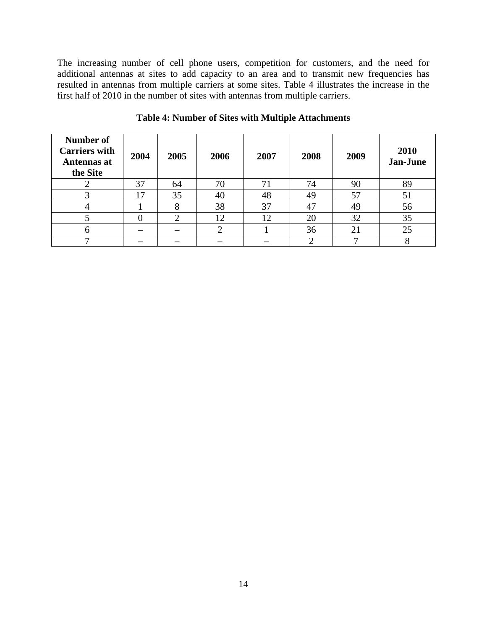The increasing number of cell phone users, competition for customers, and the need for additional antennas at sites to add capacity to an area and to transmit new frequencies has resulted in antennas from multiple carriers at some sites. Table 4 illustrates the increase in the first half of 2010 in the number of sites with antennas from multiple carriers.

| <b>Number of</b><br><b>Carriers with</b><br>Antennas at<br>the Site | 2004            | 2005 | 2006 | 2007 | 2008 | 2009 | 2010<br>Jan-June |
|---------------------------------------------------------------------|-----------------|------|------|------|------|------|------------------|
|                                                                     | 37              | 64   | 70   |      | 74   | 90   | 89               |
|                                                                     | $\overline{17}$ | 35   | 40   | 48   | 49   | 57   | 51               |
|                                                                     |                 | o    | 38   | 37   | 47   | 49   | 56               |
|                                                                     |                 | ⌒    | 12   | 12   | 20   | 32   | 35               |
|                                                                     |                 |      |      |      | 36   | 21   | 25               |
|                                                                     |                 |      |      |      |      |      |                  |

**Table 4: Number of Sites with Multiple Attachments**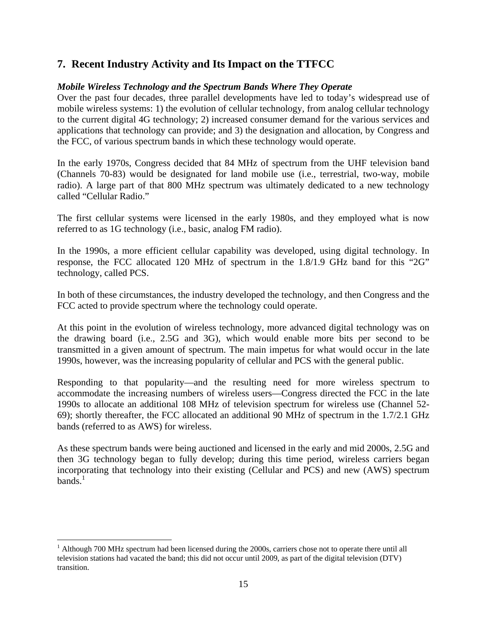# **7. Recent Industry Activity and Its Impact on the TTFCC**

## *Mobile Wireless Technology and the Spectrum Bands Where They Operate*

Over the past four decades, three parallel developments have led to today's widespread use of mobile wireless systems: 1) the evolution of cellular technology, from analog cellular technology to the current digital 4G technology; 2) increased consumer demand for the various services and applications that technology can provide; and 3) the designation and allocation, by Congress and the FCC, of various spectrum bands in which these technology would operate.

In the early 1970s, Congress decided that 84 MHz of spectrum from the UHF television band (Channels 70-83) would be designated for land mobile use (i.e., terrestrial, two-way, mobile radio). A large part of that 800 MHz spectrum was ultimately dedicated to a new technology called "Cellular Radio."

The first cellular systems were licensed in the early 1980s, and they employed what is now referred to as 1G technology (i.e., basic, analog FM radio).

In the 1990s, a more efficient cellular capability was developed, using digital technology. In response, the FCC allocated 120 MHz of spectrum in the 1.8/1.9 GHz band for this "2G" technology, called PCS.

In both of these circumstances, the industry developed the technology, and then Congress and the FCC acted to provide spectrum where the technology could operate.

At this point in the evolution of wireless technology, more advanced digital technology was on the drawing board (i.e., 2.5G and 3G), which would enable more bits per second to be transmitted in a given amount of spectrum. The main impetus for what would occur in the late 1990s, however, was the increasing popularity of cellular and PCS with the general public.

Responding to that popularity—and the resulting need for more wireless spectrum to accommodate the increasing numbers of wireless users—Congress directed the FCC in the late 1990s to allocate an additional 108 MHz of television spectrum for wireless use (Channel 52- 69); shortly thereafter, the FCC allocated an additional 90 MHz of spectrum in the 1.7/2.1 GHz bands (referred to as AWS) for wireless.

As these spectrum bands were being auctioned and licensed in the early and mid 2000s, 2.5G and then 3G technology began to fully develop; during this time period, wireless carriers began incorporating that technology into their existing (Cellular and PCS) and new (AWS) spectrum  $bands.<sup>1</sup>$ 

 $\overline{a}$ 

<sup>&</sup>lt;sup>1</sup> Although 700 MHz spectrum had been licensed during the 2000s, carriers chose not to operate there until all television stations had vacated the band; this did not occur until 2009, as part of the digital television (DTV) transition.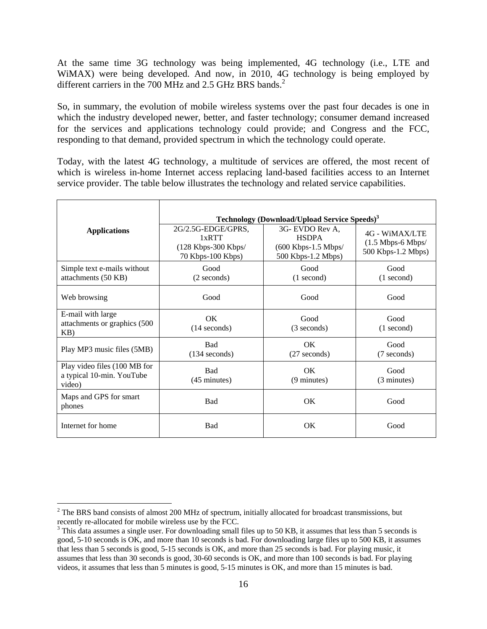At the same time 3G technology was being implemented, 4G technology (i.e., LTE and WiMAX) were being developed. And now, in 2010, 4G technology is being employed by different carriers in the 700 MHz and 2.5 GHz BRS bands.<sup>2</sup>

So, in summary, the evolution of mobile wireless systems over the past four decades is one in which the industry developed newer, better, and faster technology; consumer demand increased for the services and applications technology could provide; and Congress and the FCC, responding to that demand, provided spectrum in which the technology could operate.

Today, with the latest 4G technology, a multitude of services are offered, the most recent of which is wireless in-home Internet access replacing land-based facilities access to an Internet service provider. The table below illustrates the technology and related service capabilities.

|                                                                     | Technology (Download/Upload Service Speeds) <sup>3</sup>                |                                                                                |                                                             |  |  |  |
|---------------------------------------------------------------------|-------------------------------------------------------------------------|--------------------------------------------------------------------------------|-------------------------------------------------------------|--|--|--|
| <b>Applications</b>                                                 | 2G/2.5G-EDGE/GPRS,<br>1xRTT<br>(128 Kbps-300 Kbps/<br>70 Kbps-100 Kbps) | 3G- EVDO Rev A.<br><b>HSDPA</b><br>$(600$ Kbps-1.5 Mbps/<br>500 Kbps-1.2 Mbps) | 4G - WIMAX/LTE<br>$(1.5$ Mbps-6 Mbps/<br>500 Kbps-1.2 Mbps) |  |  |  |
| Simple text e-mails without<br>attachments (50 KB)                  | Good<br>(2 seconds)                                                     | Good<br>$(1$ second)                                                           | Good<br>$(1$ second)                                        |  |  |  |
| Web browsing                                                        | Good                                                                    | Good                                                                           | Good                                                        |  |  |  |
| E-mail with large<br>attachments or graphics (500<br>KB)            | <b>OK</b><br>$(14$ seconds)                                             | Good<br>(3 seconds)                                                            | Good<br>$(1$ second)                                        |  |  |  |
| Play MP3 music files (5MB)                                          | <b>Bad</b><br>$(134$ seconds)                                           | <b>OK</b><br>$(27$ seconds)                                                    | Good<br>(7 seconds)                                         |  |  |  |
| Play video files (100 MB for<br>a typical 10-min. YouTube<br>video) | Bad<br>(45 minutes)                                                     | <b>OK</b><br>$(9 \text{ minutes})$                                             | Good<br>(3 minutes)                                         |  |  |  |
| Maps and GPS for smart<br>phones                                    | <b>Bad</b>                                                              | OK                                                                             | Good                                                        |  |  |  |
| Internet for home                                                   | Bad                                                                     | OK                                                                             | Good                                                        |  |  |  |

 $\overline{a}$ 

 $2^2$  The BRS band consists of almost 200 MHz of spectrum, initially allocated for broadcast transmissions, but recently re-allocated for mobile wireless use by the FCC.

<sup>&</sup>lt;sup>3</sup> This data assumes a single user. For downloading small files up to 50 KB, it assumes that less than 5 seconds is good, 5-10 seconds is OK, and more than 10 seconds is bad. For downloading large files up to 500 KB, it assumes that less than 5 seconds is good, 5-15 seconds is OK, and more than 25 seconds is bad. For playing music, it assumes that less than 30 seconds is good, 30-60 seconds is OK, and more than 100 seconds is bad. For playing videos, it assumes that less than 5 minutes is good, 5-15 minutes is OK, and more than 15 minutes is bad.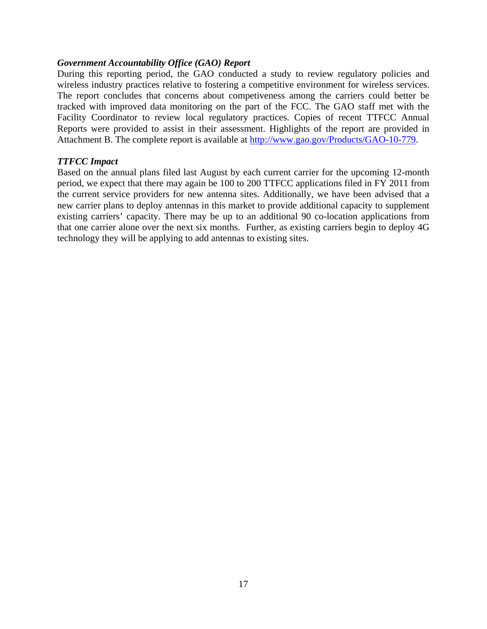#### *Government Accountability Office (GAO) Report*

During this reporting period, the GAO conducted a study to review regulatory policies and wireless industry practices relative to fostering a competitive environment for wireless services. The report concludes that concerns about competiveness among the carriers could better be tracked with improved data monitoring on the part of the FCC. The GAO staff met with the Facility Coordinator to review local regulatory practices. Copies of recent TTFCC Annual Reports were provided to assist in their assessment. Highlights of the report are provided in Attachment B. The complete report is available at http://www.gao.gov/Products/GAO-10-779.

#### *TTFCC Impact*

Based on the annual plans filed last August by each current carrier for the upcoming 12-month period, we expect that there may again be 100 to 200 TTFCC applications filed in FY 2011 from the current service providers for new antenna sites. Additionally, we have been advised that a new carrier plans to deploy antennas in this market to provide additional capacity to supplement existing carriers' capacity. There may be up to an additional 90 co-location applications from that one carrier alone over the next six months. Further, as existing carriers begin to deploy 4G technology they will be applying to add antennas to existing sites.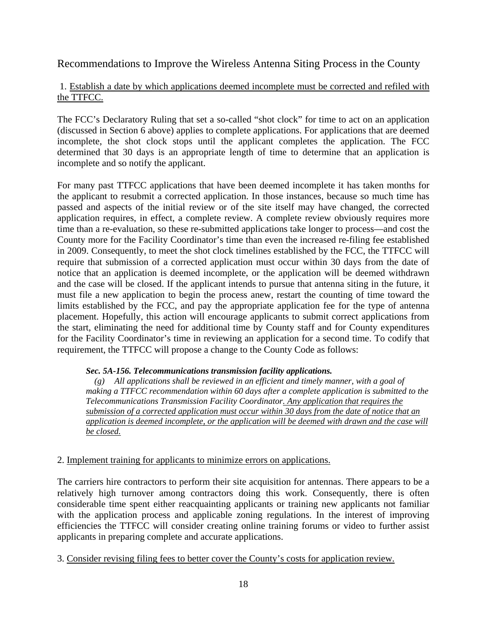Recommendations to Improve the Wireless Antenna Siting Process in the County

## 1. Establish a date by which applications deemed incomplete must be corrected and refiled with the TTFCC.

The FCC's Declaratory Ruling that set a so-called "shot clock" for time to act on an application (discussed in Section 6 above) applies to complete applications. For applications that are deemed incomplete, the shot clock stops until the applicant completes the application. The FCC determined that 30 days is an appropriate length of time to determine that an application is incomplete and so notify the applicant.

For many past TTFCC applications that have been deemed incomplete it has taken months for the applicant to resubmit a corrected application. In those instances, because so much time has passed and aspects of the initial review or of the site itself may have changed, the corrected application requires, in effect, a complete review. A complete review obviously requires more time than a re-evaluation, so these re-submitted applications take longer to process—and cost the County more for the Facility Coordinator's time than even the increased re-filing fee established in 2009. Consequently, to meet the shot clock timelines established by the FCC, the TTFCC will require that submission of a corrected application must occur within 30 days from the date of notice that an application is deemed incomplete, or the application will be deemed withdrawn and the case will be closed. If the applicant intends to pursue that antenna siting in the future, it must file a new application to begin the process anew, restart the counting of time toward the limits established by the FCC, and pay the appropriate application fee for the type of antenna placement. Hopefully, this action will encourage applicants to submit correct applications from the start, eliminating the need for additional time by County staff and for County expenditures for the Facility Coordinator's time in reviewing an application for a second time. To codify that requirement, the TTFCC will propose a change to the County Code as follows:

#### *Sec. 5A-156. Telecommunications transmission facility applications.*

 *(g) All applications shall be reviewed in an efficient and timely manner, with a goal of making a TTFCC recommendation within 60 days after a complete application is submitted to the Telecommunications Transmission Facility Coordinator. Any application that requires the submission of a corrected application must occur within 30 days from the date of notice that an application is deemed incomplete, or the application will be deemed with drawn and the case will be closed.*

## 2. Implement training for applicants to minimize errors on applications.

The carriers hire contractors to perform their site acquisition for antennas. There appears to be a relatively high turnover among contractors doing this work. Consequently, there is often considerable time spent either reacquainting applicants or training new applicants not familiar with the application process and applicable zoning regulations. In the interest of improving efficiencies the TTFCC will consider creating online training forums or video to further assist applicants in preparing complete and accurate applications.

3. Consider revising filing fees to better cover the County's costs for application review.